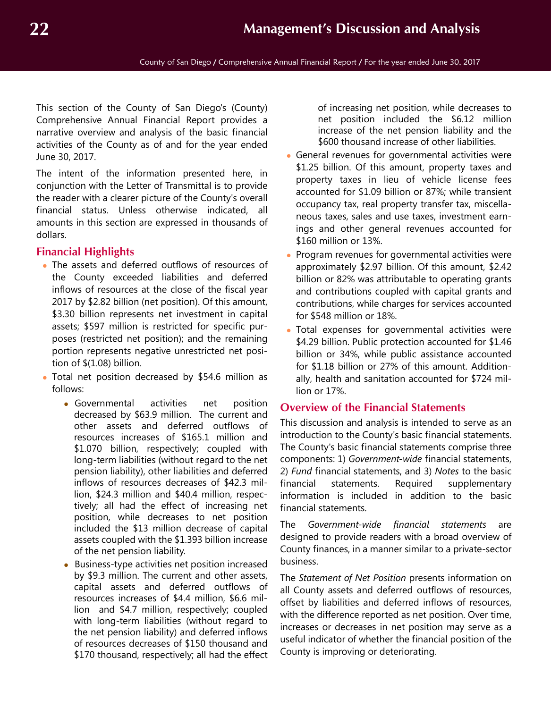This section of the County of San Diego's (County) Comprehensive Annual Financial Report provides a narrative overview and analysis of the basic financial activities of the County as of and for the year ended June 30, 2017.

The intent of the information presented here, in conjunction with the Letter of Transmittal is to provide the reader with a clearer picture of the County's overall financial status. Unless otherwise indicated, all amounts in this section are expressed in thousands of dollars.

# **Financial Highlights**

- The assets and deferred outflows of resources of the County exceeded liabilities and deferred inflows of resources at the close of the fiscal year 2017 by \$2.82 billion (net position). Of this amount, \$3.30 billion represents net investment in capital assets; \$597 million is restricted for specific purposes (restricted net position); and the remaining portion represents negative unrestricted net position of \$(1.08) billion.
- Total net position decreased by \$54.6 million as follows:
	- Governmental activities net position decreased by \$63.9 million. The current and other assets and deferred outflows of resources increases of \$165.1 million and \$1.070 billion, respectively; coupled with long-term liabilities (without regard to the net pension liability), other liabilities and deferred inflows of resources decreases of \$42.3 million, \$24.3 million and \$40.4 million, respectively; all had the effect of increasing net position, while decreases to net position included the \$13 million decrease of capital assets coupled with the \$1.393 billion increase of the net pension liability.
	- Business-type activities net position increased by \$9.3 million. The current and other assets, capital assets and deferred outflows of resources increases of \$4.4 million, \$6.6 million and \$4.7 million, respectively; coupled with long-term liabilities (without regard to the net pension liability) and deferred inflows of resources decreases of \$150 thousand and \$170 thousand, respectively; all had the effect

of increasing net position, while decreases to net position included the \$6.12 million increase of the net pension liability and the \$600 thousand increase of other liabilities.

- General revenues for governmental activities were \$1.25 billion. Of this amount, property taxes and property taxes in lieu of vehicle license fees accounted for \$1.09 billion or 87%; while transient occupancy tax, real property transfer tax, miscellaneous taxes, sales and use taxes, investment earnings and other general revenues accounted for \$160 million or 13%.
- Program revenues for governmental activities were approximately \$2.97 billion. Of this amount, \$2.42 billion or 82% was attributable to operating grants and contributions coupled with capital grants and contributions, while charges for services accounted for \$548 million or 18%.
- Total expenses for governmental activities were \$4.29 billion. Public protection accounted for \$1.46 billion or 34%, while public assistance accounted for \$1.18 billion or 27% of this amount. Additionally, health and sanitation accounted for \$724 million or 17%.

# **Overview of the Financial Statements**

This discussion and analysis is intended to serve as an introduction to the County's basic financial statements. The County's basic financial statements comprise three components: 1) *Government-wide* financial statements, 2) *Fund* financial statements, and 3) *Notes* to the basic financial statements. Required supplementary information is included in addition to the basic financial statements.

The *Government-wide financial statements* are designed to provide readers with a broad overview of County finances, in a manner similar to a private-sector business.

The *Statement of Net Position* presents information on all County assets and deferred outflows of resources, offset by liabilities and deferred inflows of resources, with the difference reported as net position. Over time, increases or decreases in net position may serve as a useful indicator of whether the financial position of the County is improving or deteriorating.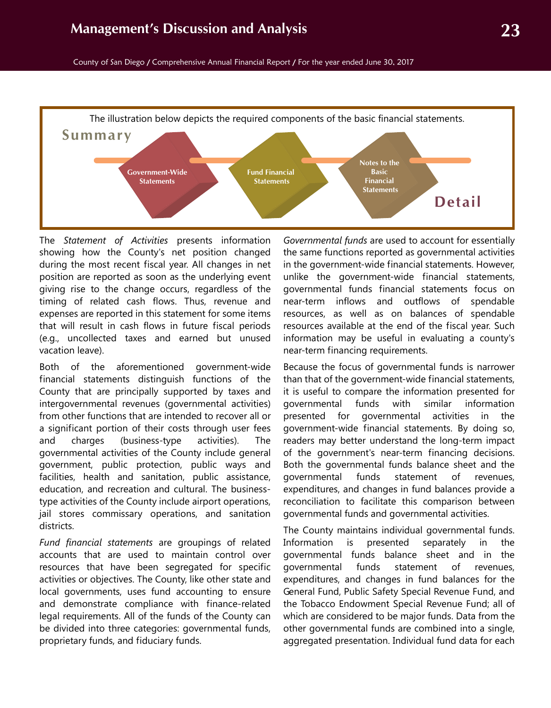

The *Statement of Activities* presents information showing how the County's net position changed during the most recent fiscal year. All changes in net position are reported as soon as the underlying event giving rise to the change occurs, regardless of the timing of related cash flows. Thus, revenue and expenses are reported in this statement for some items that will result in cash flows in future fiscal periods (e.g., uncollected taxes and earned but unused vacation leave).

Both of the aforementioned government-wide financial statements distinguish functions of the County that are principally supported by taxes and intergovernmental revenues (governmental activities) from other functions that are intended to recover all or a significant portion of their costs through user fees and charges (business-type activities). The governmental activities of the County include general government, public protection, public ways and facilities, health and sanitation, public assistance, education, and recreation and cultural. The businesstype activities of the County include airport operations, jail stores commissary operations, and sanitation districts.

*Fund financial statements* are groupings of related accounts that are used to maintain control over resources that have been segregated for specific activities or objectives. The County, like other state and local governments, uses fund accounting to ensure and demonstrate compliance with finance-related legal requirements. All of the funds of the County can be divided into three categories: governmental funds, proprietary funds, and fiduciary funds.

*Governmental funds* are used to account for essentially the same functions reported as governmental activities in the government-wide financial statements. However, unlike the government-wide financial statements, governmental funds financial statements focus on near-term inflows and outflows of spendable resources, as well as on balances of spendable resources available at the end of the fiscal year. Such information may be useful in evaluating a county's near-term financing requirements.

Because the focus of governmental funds is narrower than that of the government-wide financial statements, it is useful to compare the information presented for governmental funds with similar information presented for governmental activities in the government-wide financial statements. By doing so, readers may better understand the long-term impact of the government's near-term financing decisions. Both the governmental funds balance sheet and the governmental funds statement of revenues, expenditures, and changes in fund balances provide a reconciliation to facilitate this comparison between governmental funds and governmental activities.

The County maintains individual governmental funds. Information is presented separately in the governmental funds balance sheet and in the governmental funds statement of revenues, expenditures, and changes in fund balances for the General Fund, Public Safety Special Revenue Fund, and the Tobacco Endowment Special Revenue Fund; all of which are considered to be major funds. Data from the other governmental funds are combined into a single, aggregated presentation. Individual fund data for each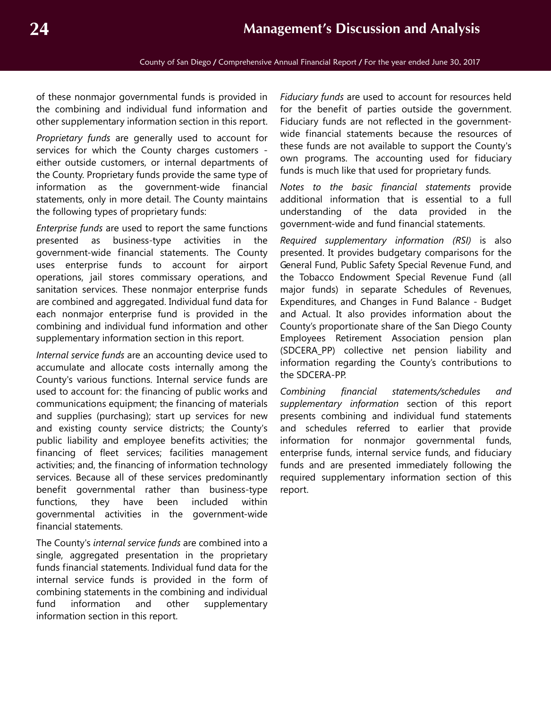of these nonmajor governmental funds is provided in the combining and individual fund information and other supplementary information section in this report.

*Proprietary funds* are generally used to account for services for which the County charges customers either outside customers, or internal departments of the County. Proprietary funds provide the same type of information as the government-wide financial statements, only in more detail. The County maintains the following types of proprietary funds:

*Enterprise funds* are used to report the same functions presented as business-type activities in the government-wide financial statements. The County uses enterprise funds to account for airport operations, jail stores commissary operations, and sanitation services. These nonmajor enterprise funds are combined and aggregated. Individual fund data for each nonmajor enterprise fund is provided in the combining and individual fund information and other supplementary information section in this report.

*Internal service funds* are an accounting device used to accumulate and allocate costs internally among the County's various functions. Internal service funds are used to account for: the financing of public works and communications equipment; the financing of materials and supplies (purchasing); start up services for new and existing county service districts; the County's public liability and employee benefits activities; the financing of fleet services; facilities management activities; and, the financing of information technology services. Because all of these services predominantly benefit governmental rather than business-type functions, they have been included within governmental activities in the government-wide financial statements.

The County's *internal service funds* are combined into a single, aggregated presentation in the proprietary funds financial statements. Individual fund data for the internal service funds is provided in the form of combining statements in the combining and individual fund information and other supplementary information section in this report.

*Fiduciary funds* are used to account for resources held for the benefit of parties outside the government. Fiduciary funds are not reflected in the governmentwide financial statements because the resources of these funds are not available to support the County's own programs. The accounting used for fiduciary funds is much like that used for proprietary funds.

*Notes to the basic financial statements* provide additional information that is essential to a full understanding of the data provided in the government-wide and fund financial statements.

*Required supplementary information (RSI)* is also presented. It provides budgetary comparisons for the General Fund, Public Safety Special Revenue Fund, and the Tobacco Endowment Special Revenue Fund (all major funds) in separate Schedules of Revenues, Expenditures, and Changes in Fund Balance - Budget and Actual. It also provides information about the County's proportionate share of the San Diego County Employees Retirement Association pension plan (SDCERA\_PP) collective net pension liability and information regarding the County's contributions to the SDCERA-PP.

*Combining financial statements/schedules and supplementary information* section of this report presents combining and individual fund statements and schedules referred to earlier that provide information for nonmajor governmental funds, enterprise funds, internal service funds, and fiduciary funds and are presented immediately following the required supplementary information section of this report.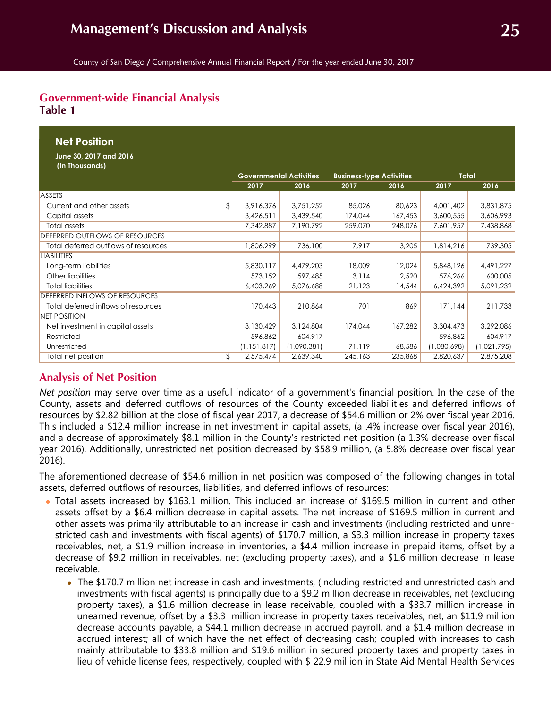# **Government-wide Financial Analysis Table 1**

| <b>Net Position</b>                      |                                                |             |                                                 |         |                              |             |
|------------------------------------------|------------------------------------------------|-------------|-------------------------------------------------|---------|------------------------------|-------------|
| June 30, 2017 and 2016<br>(In Thousands) |                                                |             |                                                 |         |                              |             |
|                                          | <b>Governmental Activities</b><br>2017<br>2016 |             | <b>Business-type Activities</b><br>2017<br>2016 |         | <b>Total</b><br>2017<br>2016 |             |
| <b>ASSETS</b>                            |                                                |             |                                                 |         |                              |             |
| Current and other assets                 | \$<br>3,916,376                                | 3,751,252   | 85,026                                          | 80,623  | 4,001,402                    | 3,831,875   |
| Capital assets                           | 3,426,511                                      | 3,439,540   | 174,044                                         | 167,453 | 3,600,555                    | 3,606,993   |
| Total assets                             | 7,342,887                                      | 7,190,792   | 259,070                                         | 248,076 | 7,601,957                    | 7,438,868   |
| DEFERRED OUTFLOWS OF RESOURCES           |                                                |             |                                                 |         |                              |             |
| Total deferred outflows of resources     | 1,806,299                                      | 736,100     | 7,917                                           | 3,205   | 1,814,216                    | 739,305     |
| <b>LIABILITIES</b>                       |                                                |             |                                                 |         |                              |             |
| Long-term liabilities                    | 5,830,117                                      | 4,479,203   | 18,009                                          | 12,024  | 5,848,126                    | 4,491,227   |
| Other liabilities                        | 573,152                                        | 597,485     | 3,114                                           | 2,520   | 576,266                      | 600,005     |
| <b>Total liabilities</b>                 | 6,403,269                                      | 5,076,688   | 21,123                                          | 14,544  | 6,424,392                    | 5,091,232   |
| DEFERRED INFLOWS OF RESOURCES            |                                                |             |                                                 |         |                              |             |
| Total deferred inflows of resources      | 170,443                                        | 210,864     | 701                                             | 869     | 171,144                      | 211,733     |
| <b>NET POSITION</b>                      |                                                |             |                                                 |         |                              |             |
| Net investment in capital assets         | 3,130,429                                      | 3,124,804   | 174,044                                         | 167,282 | 3,304,473                    | 3,292,086   |
| Restricted                               | 596,862                                        | 604,917     |                                                 |         | 596,862                      | 604,917     |
| Unrestricted                             | (1, 151, 817)                                  | (1,090,381) | 71,119                                          | 68,586  | (1,080,698)                  | (1,021,795) |
| Total net position                       | \$<br>2,575,474                                | 2,639,340   | 245,163                                         | 235,868 | 2,820,637                    | 2,875,208   |

# **Analysis of Net Position**

*Net position* may serve over time as a useful indicator of a government's financial position. In the case of the County, assets and deferred outflows of resources of the County exceeded liabilities and deferred inflows of resources by \$2.82 billion at the close of fiscal year 2017, a decrease of \$54.6 million or 2% over fiscal year 2016. This included a \$12.4 million increase in net investment in capital assets, (a .4% increase over fiscal year 2016), and a decrease of approximately \$8.1 million in the County's restricted net position (a 1.3% decrease over fiscal year 2016). Additionally, unrestricted net position decreased by \$58.9 million, (a 5.8% decrease over fiscal year 2016).

The aforementioned decrease of \$54.6 million in net position was composed of the following changes in total assets, deferred outflows of resources, liabilities, and deferred inflows of resources:

- Total assets increased by \$163.1 million. This included an increase of \$169.5 million in current and other assets offset by a \$6.4 million decrease in capital assets. The net increase of \$169.5 million in current and other assets was primarily attributable to an increase in cash and investments (including restricted and unrestricted cash and investments with fiscal agents) of \$170.7 million, a \$3.3 million increase in property taxes receivables, net, a \$1.9 million increase in inventories, a \$4.4 million increase in prepaid items, offset by a decrease of \$9.2 million in receivables, net (excluding property taxes), and a \$1.6 million decrease in lease receivable.
	- The \$170.7 million net increase in cash and investments, (including restricted and unrestricted cash and investments with fiscal agents) is principally due to a \$9.2 million decrease in receivables, net (excluding property taxes), a \$1.6 million decrease in lease receivable, coupled with a \$33.7 million increase in unearned revenue, offset by a \$3.3 million increase in property taxes receivables, net, an \$11.9 million decrease accounts payable, a \$44.1 million decrease in accrued payroll, and a \$1.4 million decrease in accrued interest; all of which have the net effect of decreasing cash; coupled with increases to cash mainly attributable to \$33.8 million and \$19.6 million in secured property taxes and property taxes in lieu of vehicle license fees, respectively, coupled with \$ 22.9 million in State Aid Mental Health Services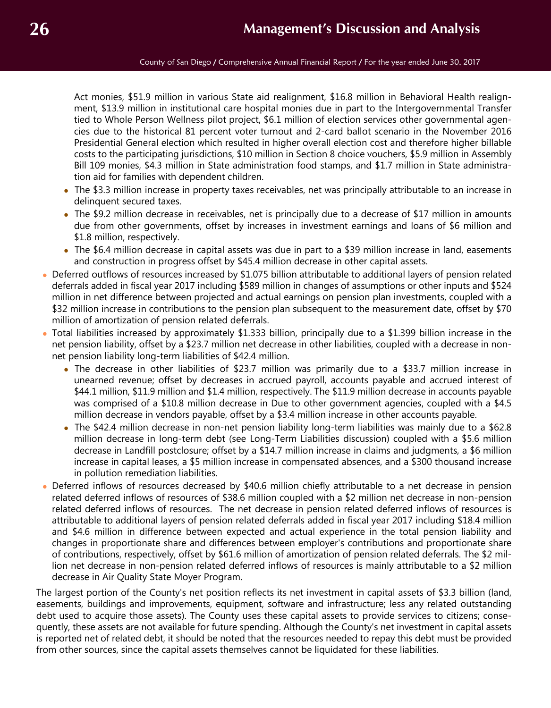Act monies, \$51.9 million in various State aid realignment, \$16.8 million in Behavioral Health realignment, \$13.9 million in institutional care hospital monies due in part to the Intergovernmental Transfer tied to Whole Person Wellness pilot project, \$6.1 million of election services other governmental agencies due to the historical 81 percent voter turnout and 2-card ballot scenario in the November 2016 Presidential General election which resulted in higher overall election cost and therefore higher billable costs to the participating jurisdictions, \$10 million in Section 8 choice vouchers, \$5.9 million in Assembly Bill 109 monies, \$4.3 million in State administration food stamps, and \$1.7 million in State administration aid for families with dependent children.

- The \$3.3 million increase in property taxes receivables, net was principally attributable to an increase in delinquent secured taxes.
- The \$9.2 million decrease in receivables, net is principally due to a decrease of \$17 million in amounts due from other governments, offset by increases in investment earnings and loans of \$6 million and \$1.8 million, respectively.
- The \$6.4 million decrease in capital assets was due in part to a \$39 million increase in land, easements and construction in progress offset by \$45.4 million decrease in other capital assets.
- Deferred outflows of resources increased by \$1.075 billion attributable to additional layers of pension related deferrals added in fiscal year 2017 including \$589 million in changes of assumptions or other inputs and \$524 million in net difference between projected and actual earnings on pension plan investments, coupled with a \$32 million increase in contributions to the pension plan subsequent to the measurement date, offset by \$70 million of amortization of pension related deferrals.
- Total liabilities increased by approximately \$1.333 billion, principally due to a \$1.399 billion increase in the net pension liability, offset by a \$23.7 million net decrease in other liabilities, coupled with a decrease in nonnet pension liability long-term liabilities of \$42.4 million.
	- The decrease in other liabilities of \$23.7 million was primarily due to a \$33.7 million increase in unearned revenue; offset by decreases in accrued payroll, accounts payable and accrued interest of \$44.1 million, \$11.9 million and \$1.4 million, respectively. The \$11.9 million decrease in accounts payable was comprised of a \$10.8 million decrease in Due to other government agencies, coupled with a \$4.5 million decrease in vendors payable, offset by a \$3.4 million increase in other accounts payable.
	- The \$42.4 million decrease in non-net pension liability long-term liabilities was mainly due to a \$62.8 million decrease in long-term debt (see Long-Term Liabilities discussion) coupled with a \$5.6 million decrease in Landfill postclosure; offset by a \$14.7 million increase in claims and judgments, a \$6 million increase in capital leases, a \$5 million increase in compensated absences, and a \$300 thousand increase in pollution remediation liabilities.
- Deferred inflows of resources decreased by \$40.6 million chiefly attributable to a net decrease in pension related deferred inflows of resources of \$38.6 million coupled with a \$2 million net decrease in non-pension related deferred inflows of resources. The net decrease in pension related deferred inflows of resources is attributable to additional layers of pension related deferrals added in fiscal year 2017 including \$18.4 million and \$4.6 million in difference between expected and actual experience in the total pension liability and changes in proportionate share and differences between employer's contributions and proportionate share of contributions, respectively, offset by \$61.6 million of amortization of pension related deferrals. The \$2 million net decrease in non-pension related deferred inflows of resources is mainly attributable to a \$2 million decrease in Air Quality State Moyer Program.

The largest portion of the County's net position reflects its net investment in capital assets of \$3.3 billion (land, easements, buildings and improvements, equipment, software and infrastructure; less any related outstanding debt used to acquire those assets). The County uses these capital assets to provide services to citizens; consequently, these assets are not available for future spending. Although the County's net investment in capital assets is reported net of related debt, it should be noted that the resources needed to repay this debt must be provided from other sources, since the capital assets themselves cannot be liquidated for these liabilities.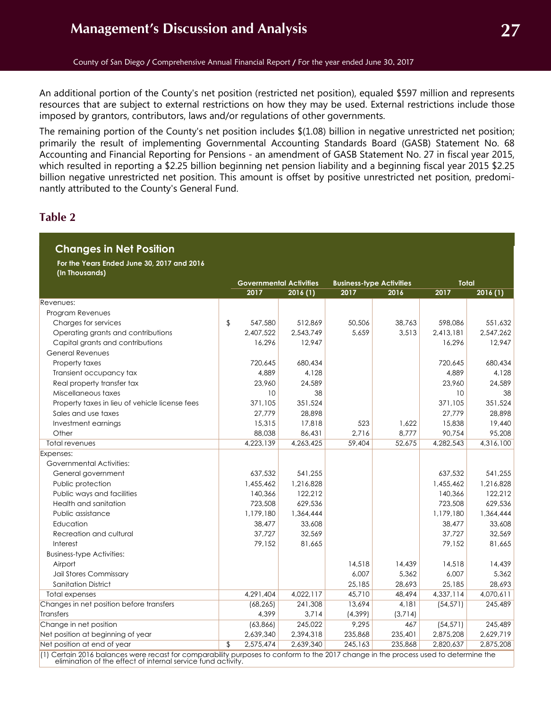An additional portion of the County's net position (restricted net position), equaled \$597 million and represents resources that are subject to external restrictions on how they may be used. External restrictions include those imposed by grantors, contributors, laws and/or regulations of other governments.

The remaining portion of the County's net position includes \$(1.08) billion in negative unrestricted net position; primarily the result of implementing Governmental Accounting Standards Board (GASB) Statement No. 68 Accounting and Financial Reporting for Pensions - an amendment of GASB Statement No. 27 in fiscal year 2015, which resulted in reporting a \$2.25 billion beginning net pension liability and a beginning fiscal year 2015 \$2.25 billion negative unrestricted net position. This amount is offset by positive unrestricted net position, predominantly attributed to the County's General Fund.

# **Table 2**

| For the Years Ended June 30, 2017 and 2016     |                                |           |                                 |          |              |           |           |
|------------------------------------------------|--------------------------------|-----------|---------------------------------|----------|--------------|-----------|-----------|
| (In Thousands)                                 | <b>Governmental Activities</b> |           | <b>Business-type Activities</b> |          | <b>Total</b> |           |           |
|                                                |                                | 2017      | 2016(1)                         | 2017     | 2016         | 2017      | 2016(1)   |
| Revenues:                                      |                                |           |                                 |          |              |           |           |
| Program Revenues                               |                                |           |                                 |          |              |           |           |
| Charges for services                           | \$                             | 547,580   | 512,869                         | 50,506   | 38,763       | 598,086   | 551,632   |
| Operating grants and contributions             |                                | 2,407,522 | 2,543,749                       | 5,659    | 3,513        | 2,413,181 | 2,547,262 |
| Capital grants and contributions               |                                | 16,296    | 12,947                          |          |              | 16,296    | 12,947    |
| <b>General Revenues</b>                        |                                |           |                                 |          |              |           |           |
| Property taxes                                 |                                | 720,645   | 680,434                         |          |              | 720.645   | 680.434   |
| Transient occupancy tax                        |                                | 4,889     | 4.128                           |          |              | 4,889     | 4,128     |
| Real property transfer tax                     |                                | 23,960    | 24,589                          |          |              | 23,960    | 24,589    |
| Miscellaneous taxes                            |                                | 10        | 38                              |          |              | 10        | 38        |
| Property taxes in lieu of vehicle license fees |                                | 371,105   | 351,524                         |          |              | 371,105   | 351,524   |
| Sales and use taxes                            |                                | 27,779    | 28,898                          |          |              | 27,779    | 28,898    |
| Investment earnings                            |                                | 15,315    | 17,818                          | 523      | 1,622        | 15,838    | 19,440    |
| Other                                          |                                | 88,038    | 86,431                          | 2,716    | 8,777        | 90,754    | 95,208    |
| Total revenues                                 |                                | 4,223,139 | 4,263,425                       | 59,404   | 52,675       | 4,282,543 | 4,316,100 |
| Expenses:                                      |                                |           |                                 |          |              |           |           |
| Governmental Activities:                       |                                |           |                                 |          |              |           |           |
| General government                             |                                | 637,532   | 541,255                         |          |              | 637,532   | 541,255   |
| Public protection                              |                                | 1,455,462 | 1,216,828                       |          |              | 1,455,462 | 1,216,828 |
| Public ways and facilities                     |                                | 140,366   | 122,212                         |          |              | 140,366   | 122,212   |
| Health and sanitation                          |                                | 723,508   | 629,536                         |          |              | 723,508   | 629,536   |
| Public assistance                              |                                | 1,179,180 | 1,364,444                       |          |              | 1,179,180 | 1,364,444 |
| Education                                      |                                | 38,477    | 33,608                          |          |              | 38,477    | 33,608    |
| Recreation and cultural                        |                                | 37,727    | 32,569                          |          |              | 37,727    | 32,569    |
| Interest                                       |                                | 79,152    | 81,665                          |          |              | 79,152    | 81,665    |
| <b>Business-type Activities:</b>               |                                |           |                                 |          |              |           |           |
| Airport                                        |                                |           |                                 | 14,518   | 14,439       | 14,518    | 14,439    |
| <b>Jail Stores Commissary</b>                  |                                |           |                                 | 6,007    | 5,362        | 6,007     | 5,362     |
| <b>Sanitation District</b>                     |                                |           |                                 | 25,185   | 28,693       | 25,185    | 28,693    |
| Total expenses                                 |                                | 4,291,404 | 4,022,117                       | 45,710   | 48.494       | 4,337,114 | 4,070,611 |
| Changes in net position before transfers       |                                | (68, 265) | 241,308                         | 13,694   | 4,181        | (54, 571) | 245,489   |
| <b>Transfers</b>                               |                                | 4,399     | 3,714                           | (4, 399) | (3,714)      |           |           |
| Change in net position                         |                                | (63, 866) | 245,022                         | 9,295    | 467          | (54, 571) | 245,489   |
| Net position at beginning of year              |                                | 2,639,340 | 2,394,318                       | 235,868  | 235,401      | 2,875,208 | 2,629,719 |
| Net position at end of year                    | \$                             | 2,575,474 | 2,639,340                       | 245,163  | 235,868      | 2,820,637 | 2,875,208 |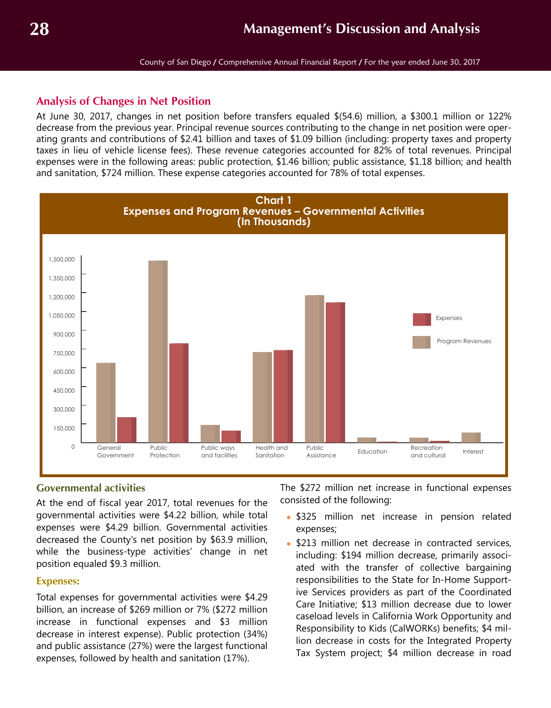# **Analysis of Changes in Net Position**

At June 30, 2017, changes in net position before transfers equaled \$(54.6) million, a \$300.1 million or 122% decrease from the previous year. Principal revenue sources contributing to the change in net position were operating grants and contributions of \$2.41 billion and taxes of \$1.09 billion (including: property taxes and property taxes in lieu of vehicle license fees). These revenue categories accounted for 82% of total revenues. Principal expenses were in the following areas: public protection, \$1.46 billion; public assistance, \$1.18 billion; and health and sanitation, \$724 million. These expense categories accounted for 78% of total expenses.



### **Governmental activities**

At the end of fiscal year 2017, total revenues for the governmental activities were \$4.22 billion, while total expenses were \$4.29 billion. Governmental activities decreased the County's net position by \$63.9 million, while the business-type activities' change in net position equaled \$9.3 million.

#### **Expenses:**

Total expenses for governmental activities were \$4.29 billion, an increase of \$269 million or 7% (\$272 million increase in functional expenses and \$3 million decrease in interest expense). Public protection (34%) and public assistance (27%) were the largest functional expenses, followed by health and sanitation (17%).

The \$272 million net increase in functional expenses consisted of the following:

- \$325 million net increase in pension related expenses;
- \$213 million net decrease in contracted services, including: \$194 million decrease, primarily associated with the transfer of collective bargaining responsibilities to the State for In-Home Supportive Services providers as part of the Coordinated Care Initiative; \$13 million decrease due to lower caseload levels in California Work Opportunity and Responsibility to Kids (CalWORKs) benefits; \$4 million decrease in costs for the Integrated Property Tax System project; \$4 million decrease in road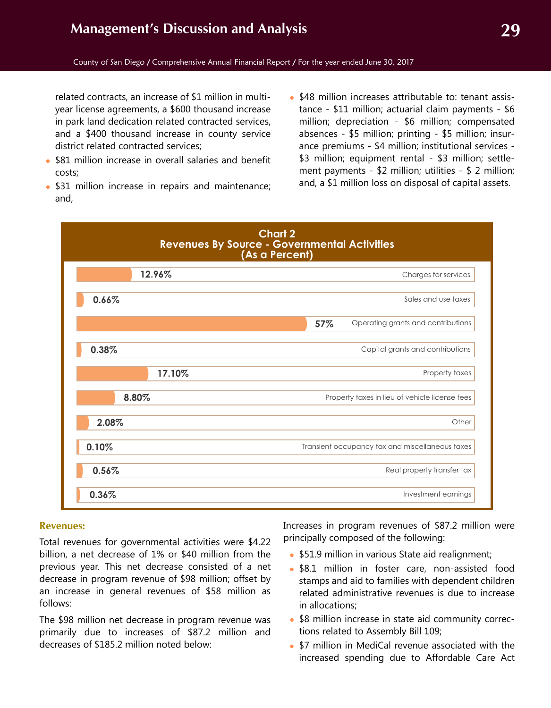related contracts, an increase of \$1 million in multiyear license agreements, a \$600 thousand increase in park land dedication related contracted services, and a \$400 thousand increase in county service district related contracted services;

- \$81 million increase in overall salaries and benefit costs;
- tance \$11 million; actuarial claim payments \$6 million; depreciation - \$6 million; compensated absences - \$5 million; printing - \$5 million; insurance premiums - \$4 million; institutional services - \$3 million; equipment rental - \$3 million; settlement payments - \$2 million; utilities - \$ 2 million; and, a \$1 million loss on disposal of capital assets.

\$48 million increases attributable to: tenant assis-

• \$31 million increase in repairs and maintenance; and,



### **Revenues:**

Total revenues for governmental activities were \$4.22 billion, a net decrease of 1% or \$40 million from the previous year. This net decrease consisted of a net decrease in program revenue of \$98 million; offset by an increase in general revenues of \$58 million as follows:

The \$98 million net decrease in program revenue was primarily due to increases of \$87.2 million and decreases of \$185.2 million noted below:

Increases in program revenues of \$87.2 million were principally composed of the following:

- \$51.9 million in various State aid realignment;
- \$8.1 million in foster care, non-assisted food stamps and aid to families with dependent children related administrative revenues is due to increase in allocations;
- \$8 million increase in state aid community corrections related to Assembly Bill 109;
- \$7 million in MediCal revenue associated with the increased spending due to Affordable Care Act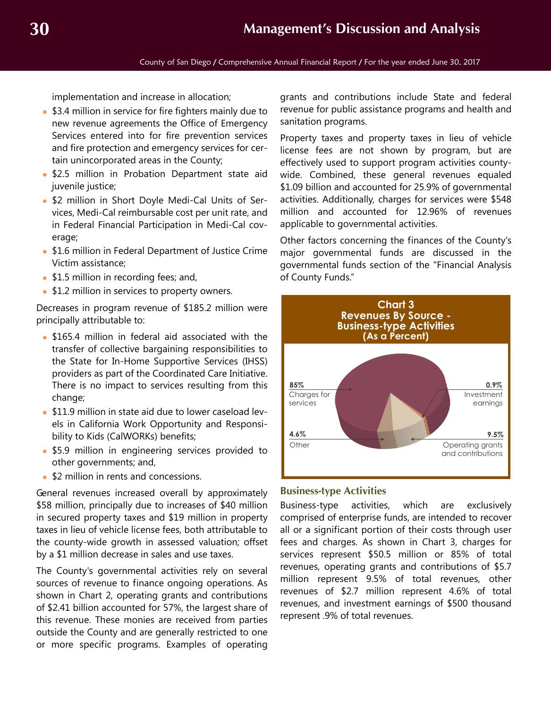implementation and increase in allocation;

- \$3.4 million in service for fire fighters mainly due to new revenue agreements the Office of Emergency Services entered into for fire prevention services and fire protection and emergency services for certain unincorporated areas in the County;
- \$2.5 million in Probation Department state aid juvenile justice;
- \$2 million in Short Doyle Medi-Cal Units of Services, Medi-Cal reimbursable cost per unit rate, and in Federal Financial Participation in Medi-Cal coverage;
- \$1.6 million in Federal Department of Justice Crime Victim assistance;
- \$1.5 million in recording fees; and,
- \$1.2 million in services to property owners.

Decreases in program revenue of \$185.2 million were principally attributable to:

- \$165.4 million in federal aid associated with the transfer of collective bargaining responsibilities to the State for In-Home Supportive Services (IHSS) providers as part of the Coordinated Care Initiative. There is no impact to services resulting from this change;
- \$11.9 million in state aid due to lower caseload levels in California Work Opportunity and Responsibility to Kids (CalWORKs) benefits;
- \$5.9 million in engineering services provided to other governments; and,
- \$2 million in rents and concessions.

General revenues increased overall by approximately \$58 million, principally due to increases of \$40 million in secured property taxes and \$19 million in property taxes in lieu of vehicle license fees, both attributable to the county-wide growth in assessed valuation; offset by a \$1 million decrease in sales and use taxes.

The County's governmental activities rely on several sources of revenue to finance ongoing operations. As shown in Chart 2, operating grants and contributions of \$2.41 billion accounted for 57%, the largest share of this revenue. These monies are received from parties outside the County and are generally restricted to one or more specific programs. Examples of operating

grants and contributions include State and federal revenue for public assistance programs and health and sanitation programs.

Property taxes and property taxes in lieu of vehicle license fees are not shown by program, but are effectively used to support program activities countywide. Combined, these general revenues equaled \$1.09 billion and accounted for 25.9% of governmental activities. Additionally, charges for services were \$548 million and accounted for 12.96% of revenues applicable to governmental activities.

Other factors concerning the finances of the County's major governmental funds are discussed in the governmental funds section of the "Financial Analysis of County Funds."



# **Business-type Activities**

Business-type activities, which are exclusively comprised of enterprise funds, are intended to recover all or a significant portion of their costs through user fees and charges. As shown in Chart 3, charges for services represent \$50.5 million or 85% of total revenues, operating grants and contributions of \$5.7 million represent 9.5% of total revenues, other revenues of \$2.7 million represent 4.6% of total revenues, and investment earnings of \$500 thousand represent .9% of total revenues.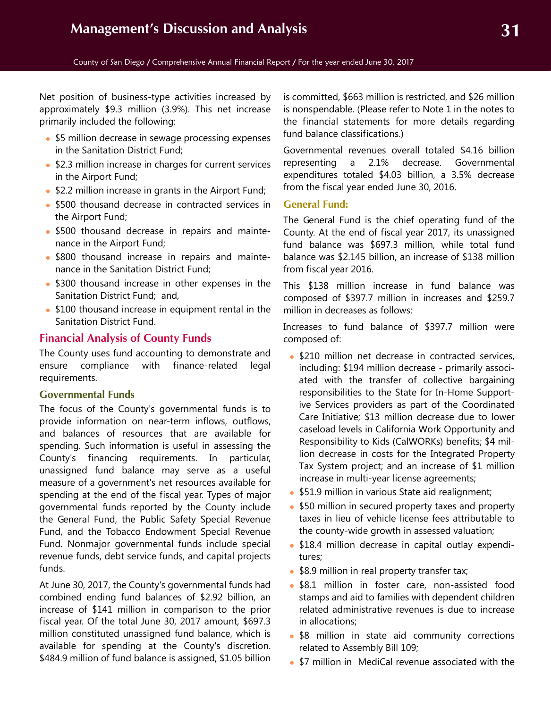Net position of business-type activities increased by approximately \$9.3 million (3.9%). This net increase primarily included the following:

- \$5 million decrease in sewage processing expenses in the Sanitation District Fund;
- \$2.3 million increase in charges for current services in the Airport Fund;
- \$2.2 million increase in grants in the Airport Fund;
- \$500 thousand decrease in contracted services in the Airport Fund;
- \$500 thousand decrease in repairs and maintenance in the Airport Fund;
- \$800 thousand increase in repairs and maintenance in the Sanitation District Fund;
- \$300 thousand increase in other expenses in the Sanitation District Fund; and,
- \$100 thousand increase in equipment rental in the Sanitation District Fund.

# **Financial Analysis of County Funds**

The County uses fund accounting to demonstrate and ensure compliance with finance-related legal requirements.

### **Governmental Funds**

The focus of the County's governmental funds is to provide information on near-term inflows, outflows, and balances of resources that are available for spending. Such information is useful in assessing the County's financing requirements. In particular, unassigned fund balance may serve as a useful measure of a government's net resources available for spending at the end of the fiscal year. Types of major governmental funds reported by the County include the General Fund, the Public Safety Special Revenue Fund, and the Tobacco Endowment Special Revenue Fund. Nonmajor governmental funds include special revenue funds, debt service funds, and capital projects funds.

At June 30, 2017, the County's governmental funds had combined ending fund balances of \$2.92 billion, an increase of \$141 million in comparison to the prior fiscal year. Of the total June 30, 2017 amount, \$697.3 million constituted unassigned fund balance, which is available for spending at the County's discretion. \$484.9 million of fund balance is assigned, \$1.05 billion

is committed, \$663 million is restricted, and \$26 million is nonspendable. (Please refer to Note 1 in the notes to the financial statements for more details regarding fund balance classifications.)

Governmental revenues overall totaled \$4.16 billion representing a 2.1% decrease. Governmental expenditures totaled \$4.03 billion, a 3.5% decrease from the fiscal year ended June 30, 2016.

### **General Fund:**

The General Fund is the chief operating fund of the County. At the end of fiscal year 2017, its unassigned fund balance was \$697.3 million, while total fund balance was \$2.145 billion, an increase of \$138 million from fiscal year 2016.

This \$138 million increase in fund balance was composed of \$397.7 million in increases and \$259.7 million in decreases as follows:

Increases to fund balance of \$397.7 million were composed of:

- \$210 million net decrease in contracted services, including: \$194 million decrease - primarily associated with the transfer of collective bargaining responsibilities to the State for In-Home Supportive Services providers as part of the Coordinated Care Initiative; \$13 million decrease due to lower caseload levels in California Work Opportunity and Responsibility to Kids (CalWORKs) benefits; \$4 million decrease in costs for the Integrated Property Tax System project; and an increase of \$1 million increase in multi-year license agreements;
- \$51.9 million in various State aid realignment;
- \$50 million in secured property taxes and property taxes in lieu of vehicle license fees attributable to the county-wide growth in assessed valuation;
- \$18.4 million decrease in capital outlay expenditures;
- \$8.9 million in real property transfer tax;
- **\$8.1** million in foster care, non-assisted food stamps and aid to families with dependent children related administrative revenues is due to increase in allocations;
- \$8 million in state aid community corrections related to Assembly Bill 109;
- \$7 million in MediCal revenue associated with the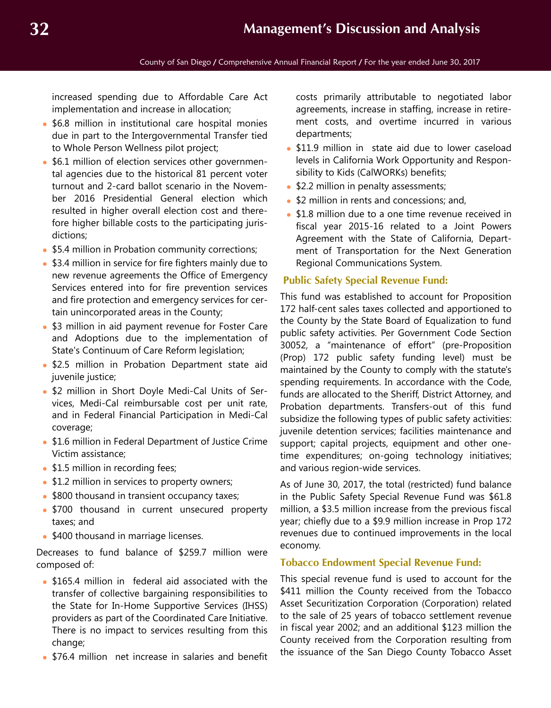increased spending due to Affordable Care Act implementation and increase in allocation;

- \$6.8 million in institutional care hospital monies due in part to the Intergovernmental Transfer tied to Whole Person Wellness pilot project;
- \$6.1 million of election services other governmental agencies due to the historical 81 percent voter turnout and 2-card ballot scenario in the November 2016 Presidential General election which resulted in higher overall election cost and therefore higher billable costs to the participating jurisdictions;
- \$5.4 million in Probation community corrections;
- \$3.4 million in service for fire fighters mainly due to new revenue agreements the Office of Emergency Services entered into for fire prevention services and fire protection and emergency services for certain unincorporated areas in the County;
- \$3 million in aid payment revenue for Foster Care and Adoptions due to the implementation of State's Continuum of Care Reform legislation;
- **\$2.5 million in Probation Department state aid** juvenile justice;
- \$2 million in Short Doyle Medi-Cal Units of Services, Medi-Cal reimbursable cost per unit rate, and in Federal Financial Participation in Medi-Cal coverage;
- \$1.6 million in Federal Department of Justice Crime Victim assistance;
- \$1.5 million in recording fees;
- \$1.2 million in services to property owners;
- \$800 thousand in transient occupancy taxes;
- \$700 thousand in current unsecured property taxes; and
- \$400 thousand in marriage licenses.

Decreases to fund balance of \$259.7 million were composed of:

- \$165.4 million in federal aid associated with the transfer of collective bargaining responsibilities to the State for In-Home Supportive Services (IHSS) providers as part of the Coordinated Care Initiative. There is no impact to services resulting from this change;
- \$76.4 million net increase in salaries and benefit

costs primarily attributable to negotiated labor agreements, increase in staffing, increase in retirement costs, and overtime incurred in various departments;

- **\$11.9 million in state aid due to lower caseload** levels in California Work Opportunity and Responsibility to Kids (CalWORKs) benefits;
- \$2.2 million in penalty assessments;
- \$2 million in rents and concessions; and,
- \$1.8 million due to a one time revenue received in fiscal year 2015-16 related to a Joint Powers Agreement with the State of California, Department of Transportation for the Next Generation Regional Communications System.

### **Public Safety Special Revenue Fund:**

This fund was established to account for Proposition 172 half-cent sales taxes collected and apportioned to the County by the State Board of Equalization to fund public safety activities. Per Government Code Section 30052, a "maintenance of effort" (pre-Proposition (Prop) 172 public safety funding level) must be maintained by the County to comply with the statute's spending requirements. In accordance with the Code, funds are allocated to the Sheriff, District Attorney, and Probation departments. Transfers-out of this fund subsidize the following types of public safety activities: juvenile detention services; facilities maintenance and support; capital projects, equipment and other onetime expenditures; on-going technology initiatives; and various region-wide services.

As of June 30, 2017, the total (restricted) fund balance in the Public Safety Special Revenue Fund was \$61.8 million, a \$3.5 million increase from the previous fiscal year; chiefly due to a \$9.9 million increase in Prop 172 revenues due to continued improvements in the local economy.

# **Tobacco Endowment Special Revenue Fund:**

This special revenue fund is used to account for the \$411 million the County received from the Tobacco Asset Securitization Corporation (Corporation) related to the sale of 25 years of tobacco settlement revenue in fiscal year 2002; and an additional \$123 million the County received from the Corporation resulting from the issuance of the San Diego County Tobacco Asset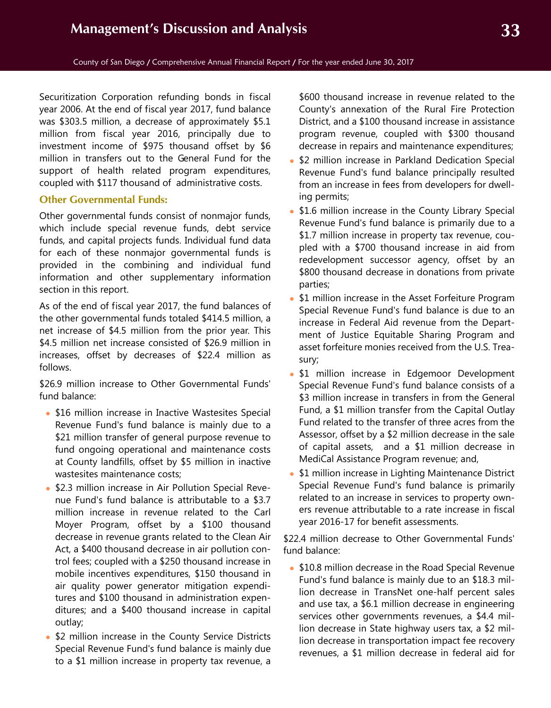Securitization Corporation refunding bonds in fiscal year 2006. At the end of fiscal year 2017, fund balance was \$303.5 million, a decrease of approximately \$5.1 million from fiscal year 2016, principally due to investment income of \$975 thousand offset by \$6 million in transfers out to the General Fund for the support of health related program expenditures, coupled with \$117 thousand of administrative costs.

# **Other Governmental Funds:**

Other governmental funds consist of nonmajor funds, which include special revenue funds, debt service funds, and capital projects funds. Individual fund data for each of these nonmajor governmental funds is provided in the combining and individual fund information and other supplementary information section in this report.

As of the end of fiscal year 2017, the fund balances of the other governmental funds totaled \$414.5 million, a net increase of \$4.5 million from the prior year. This \$4.5 million net increase consisted of \$26.9 million in increases, offset by decreases of \$22.4 million as follows.

\$26.9 million increase to Other Governmental Funds' fund balance:

- \$16 million increase in Inactive Wastesites Special Revenue Fund's fund balance is mainly due to a \$21 million transfer of general purpose revenue to fund ongoing operational and maintenance costs at County landfills, offset by \$5 million in inactive wastesites maintenance costs;
- \$2.3 million increase in Air Pollution Special Revenue Fund's fund balance is attributable to a \$3.7 million increase in revenue related to the Carl Moyer Program, offset by a \$100 thousand decrease in revenue grants related to the Clean Air Act, a \$400 thousand decrease in air pollution control fees; coupled with a \$250 thousand increase in mobile incentives expenditures, \$150 thousand in air quality power generator mitigation expenditures and \$100 thousand in administration expenditures; and a \$400 thousand increase in capital outlay;
- \$2 million increase in the County Service Districts Special Revenue Fund's fund balance is mainly due to a \$1 million increase in property tax revenue, a

\$600 thousand increase in revenue related to the County's annexation of the Rural Fire Protection District, and a \$100 thousand increase in assistance program revenue, coupled with \$300 thousand decrease in repairs and maintenance expenditures;

- \$2 million increase in Parkland Dedication Special Revenue Fund's fund balance principally resulted from an increase in fees from developers for dwelling permits;
- **\$1.6 million increase in the County Library Special** Revenue Fund's fund balance is primarily due to a \$1.7 million increase in property tax revenue, coupled with a \$700 thousand increase in aid from redevelopment successor agency, offset by an \$800 thousand decrease in donations from private parties;
- \$1 million increase in the Asset Forfeiture Program Special Revenue Fund's fund balance is due to an increase in Federal Aid revenue from the Department of Justice Equitable Sharing Program and asset forfeiture monies received from the U.S. Treasury;
- \$1 million increase in Edgemoor Development Special Revenue Fund's fund balance consists of a \$3 million increase in transfers in from the General Fund, a \$1 million transfer from the Capital Outlay Fund related to the transfer of three acres from the Assessor, offset by a \$2 million decrease in the sale of capital assets, and a \$1 million decrease in MediCal Assistance Program revenue; and,
- \$1 million increase in Lighting Maintenance District Special Revenue Fund's fund balance is primarily related to an increase in services to property owners revenue attributable to a rate increase in fiscal year 2016-17 for benefit assessments.

\$22.4 million decrease to Other Governmental Funds' fund balance:

**\$10.8 million decrease in the Road Special Revenue** Fund's fund balance is mainly due to an \$18.3 million decrease in TransNet one-half percent sales and use tax, a \$6.1 million decrease in engineering services other governments revenues, a \$4.4 million decrease in State highway users tax, a \$2 million decrease in transportation impact fee recovery revenues, a \$1 million decrease in federal aid for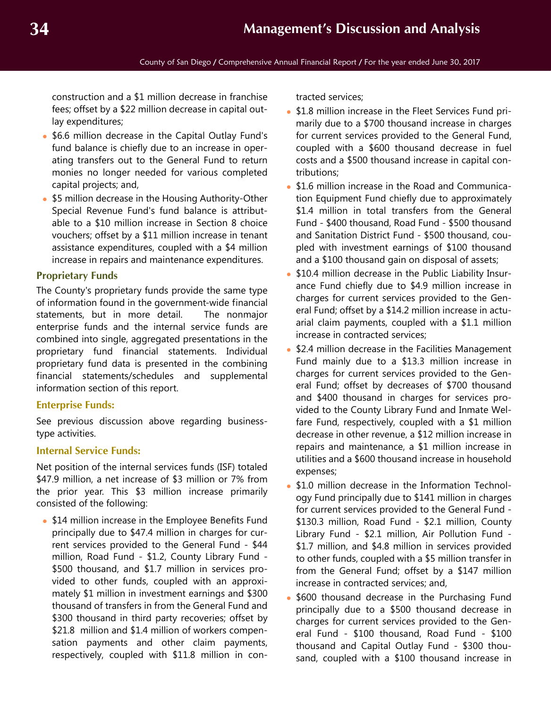construction and a \$1 million decrease in franchise fees; offset by a \$22 million decrease in capital outlay expenditures;

- \$6.6 million decrease in the Capital Outlay Fund's fund balance is chiefly due to an increase in operating transfers out to the General Fund to return monies no longer needed for various completed capital projects; and,
- \$5 million decrease in the Housing Authority-Other Special Revenue Fund's fund balance is attributable to a \$10 million increase in Section 8 choice vouchers; offset by a \$11 million increase in tenant assistance expenditures, coupled with a \$4 million increase in repairs and maintenance expenditures.

### **Proprietary Funds**

The County's proprietary funds provide the same type of information found in the government-wide financial statements, but in more detail. The nonmajor enterprise funds and the internal service funds are combined into single, aggregated presentations in the proprietary fund financial statements. Individual proprietary fund data is presented in the combining financial statements/schedules and supplemental information section of this report.

#### **Enterprise Funds:**

See previous discussion above regarding businesstype activities.

#### **Internal Service Funds:**

Net position of the internal services funds (ISF) totaled \$47.9 million, a net increase of \$3 million or 7% from the prior year. This \$3 million increase primarily consisted of the following:

• \$14 million increase in the Employee Benefits Fund principally due to \$47.4 million in charges for current services provided to the General Fund - \$44 million, Road Fund - \$1.2, County Library Fund - \$500 thousand, and \$1.7 million in services provided to other funds, coupled with an approximately \$1 million in investment earnings and \$300 thousand of transfers in from the General Fund and \$300 thousand in third party recoveries; offset by \$21.8 million and \$1.4 million of workers compensation payments and other claim payments, respectively, coupled with \$11.8 million in contracted services;

- **\$1.8 million increase in the Fleet Services Fund pri**marily due to a \$700 thousand increase in charges for current services provided to the General Fund, coupled with a \$600 thousand decrease in fuel costs and a \$500 thousand increase in capital contributions;
- \$1.6 million increase in the Road and Communication Equipment Fund chiefly due to approximately \$1.4 million in total transfers from the General Fund - \$400 thousand, Road Fund - \$500 thousand and Sanitation District Fund - \$500 thousand, coupled with investment earnings of \$100 thousand and a \$100 thousand gain on disposal of assets;
- \$10.4 million decrease in the Public Liability Insurance Fund chiefly due to \$4.9 million increase in charges for current services provided to the General Fund; offset by a \$14.2 million increase in actuarial claim payments, coupled with a \$1.1 million increase in contracted services;
- \$2.4 million decrease in the Facilities Management Fund mainly due to a \$13.3 million increase in charges for current services provided to the General Fund; offset by decreases of \$700 thousand and \$400 thousand in charges for services provided to the County Library Fund and Inmate Welfare Fund, respectively, coupled with a \$1 million decrease in other revenue, a \$12 million increase in repairs and maintenance, a \$1 million increase in utilities and a \$600 thousand increase in household expenses;
- \$1.0 million decrease in the Information Technology Fund principally due to \$141 million in charges for current services provided to the General Fund - \$130.3 million, Road Fund - \$2.1 million, County Library Fund - \$2.1 million, Air Pollution Fund - \$1.7 million, and \$4.8 million in services provided to other funds, coupled with a \$5 million transfer in from the General Fund; offset by a \$147 million increase in contracted services; and,
- \$600 thousand decrease in the Purchasing Fund principally due to a \$500 thousand decrease in charges for current services provided to the General Fund - \$100 thousand, Road Fund - \$100 thousand and Capital Outlay Fund - \$300 thousand, coupled with a \$100 thousand increase in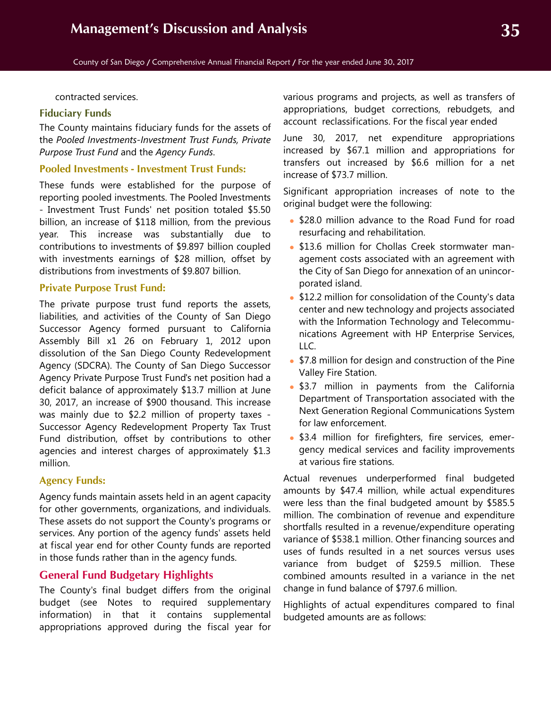contracted services.

### **Fiduciary Funds**

The County maintains fiduciary funds for the assets of the *Pooled Investments-Investment Trust Funds, Private Purpose Trust Fund* and the *Agency Funds*.

## **Pooled Investments - Investment Trust Funds:**

These funds were established for the purpose of reporting pooled investments. The Pooled Investments - Investment Trust Funds' net position totaled \$5.50 billion, an increase of \$118 million, from the previous year. This increase was substantially due to contributions to investments of \$9.897 billion coupled with investments earnings of \$28 million, offset by distributions from investments of \$9.807 billion.

#### **Private Purpose Trust Fund:**

The private purpose trust fund reports the assets, liabilities, and activities of the County of San Diego Successor Agency formed pursuant to California Assembly Bill x1 26 on February 1, 2012 upon dissolution of the San Diego County Redevelopment Agency (SDCRA). The County of San Diego Successor Agency Private Purpose Trust Fund's net position had a deficit balance of approximately \$13.7 million at June 30, 2017, an increase of \$900 thousand. This increase was mainly due to \$2.2 million of property taxes - Successor Agency Redevelopment Property Tax Trust Fund distribution, offset by contributions to other agencies and interest charges of approximately \$1.3 million.

#### **Agency Funds:**

Agency funds maintain assets held in an agent capacity for other governments, organizations, and individuals. These assets do not support the County's programs or services. Any portion of the agency funds' assets held at fiscal year end for other County funds are reported in those funds rather than in the agency funds.

# **General Fund Budgetary Highlights**

The County's final budget differs from the original budget (see Notes to required supplementary information) in that it contains supplemental appropriations approved during the fiscal year for various programs and projects, as well as transfers of appropriations, budget corrections, rebudgets, and account reclassifications. For the fiscal year ended

June 30, 2017, net expenditure appropriations increased by \$67.1 million and appropriations for transfers out increased by \$6.6 million for a net increase of \$73.7 million.

Significant appropriation increases of note to the original budget were the following:

- \$28.0 million advance to the Road Fund for road resurfacing and rehabilitation.
- \$13.6 million for Chollas Creek stormwater management costs associated with an agreement with the City of San Diego for annexation of an unincorporated island.
- \$12.2 million for consolidation of the County's data center and new technology and projects associated with the Information Technology and Telecommunications Agreement with HP Enterprise Services, LLC.
- **\$7.8 million for design and construction of the Pine** Valley Fire Station.
- \$3.7 million in payments from the California Department of Transportation associated with the Next Generation Regional Communications System for law enforcement.
- \$3.4 million for firefighters, fire services, emergency medical services and facility improvements at various fire stations.

Actual revenues underperformed final budgeted amounts by \$47.4 million, while actual expenditures were less than the final budgeted amount by \$585.5 million. The combination of revenue and expenditure shortfalls resulted in a revenue/expenditure operating variance of \$538.1 million. Other financing sources and uses of funds resulted in a net sources versus uses variance from budget of \$259.5 million. These combined amounts resulted in a variance in the net change in fund balance of \$797.6 million.

Highlights of actual expenditures compared to final budgeted amounts are as follows: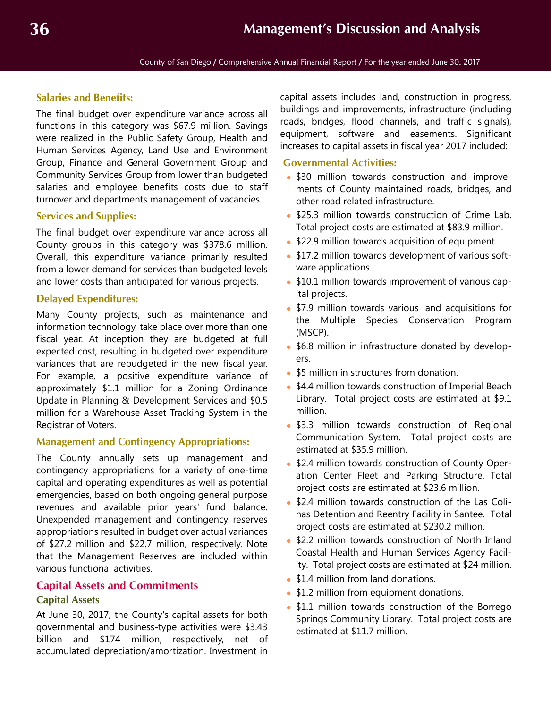# **Salaries and Benefits:**

The final budget over expenditure variance across all functions in this category was \$67.9 million. Savings were realized in the Public Safety Group, Health and Human Services Agency, Land Use and Environment Group, Finance and General Government Group and Community Services Group from lower than budgeted salaries and employee benefits costs due to staff turnover and departments management of vacancies.

# **Services and Supplies:**

The final budget over expenditure variance across all County groups in this category was \$378.6 million. Overall, this expenditure variance primarily resulted from a lower demand for services than budgeted levels and lower costs than anticipated for various projects.

# **Delayed Expenditures:**

Many County projects, such as maintenance and information technology, take place over more than one fiscal year. At inception they are budgeted at full expected cost, resulting in budgeted over expenditure variances that are rebudgeted in the new fiscal year. For example, a positive expenditure variance of approximately \$1.1 million for a Zoning Ordinance Update in Planning & Development Services and \$0.5 million for a Warehouse Asset Tracking System in the Registrar of Voters.

# **Management and Contingency Appropriations:**

The County annually sets up management and contingency appropriations for a variety of one-time capital and operating expenditures as well as potential emergencies, based on both ongoing general purpose revenues and available prior years' fund balance. Unexpended management and contingency reserves appropriations resulted in budget over actual variances of \$27.2 million and \$22.7 million, respectively. Note that the Management Reserves are included within various functional activities.

# **Capital Assets and Commitments**

# **Capital Assets**

At June 30, 2017, the County's capital assets for both governmental and business-type activities were \$3.43 billion and \$174 million, respectively, net of accumulated depreciation/amortization. Investment in

capital assets includes land, construction in progress, buildings and improvements, infrastructure (including roads, bridges, flood channels, and traffic signals), equipment, software and easements. Significant increases to capital assets in fiscal year 2017 included:

## **Governmental Activities:**

- \$30 million towards construction and improvements of County maintained roads, bridges, and other road related infrastructure.
- \$25.3 million towards construction of Crime Lab. Total project costs are estimated at \$83.9 million.
- \$22.9 million towards acquisition of equipment.
- \$17.2 million towards development of various software applications.
- \$10.1 million towards improvement of various capital projects.
- **\$7.9 million towards various land acquisitions for** the Multiple Species Conservation Program (MSCP).
- \$6.8 million in infrastructure donated by developers.
- \$5 million in structures from donation.
- \$4.4 million towards construction of Imperial Beach Library. Total project costs are estimated at \$9.1 million.
- **\$3.3 million towards construction of Regional** Communication System. Total project costs are estimated at \$35.9 million.
- \$2.4 million towards construction of County Operation Center Fleet and Parking Structure. Total project costs are estimated at \$23.6 million.
- \$2.4 million towards construction of the Las Colinas Detention and Reentry Facility in Santee. Total project costs are estimated at \$230.2 million.
- \$2.2 million towards construction of North Inland Coastal Health and Human Services Agency Facility. Total project costs are estimated at \$24 million.
- \$1.4 million from land donations.
- **\$1.2 million from equipment donations.**
- **\$1.1 million towards construction of the Borrego** Springs Community Library. Total project costs are estimated at \$11.7 million.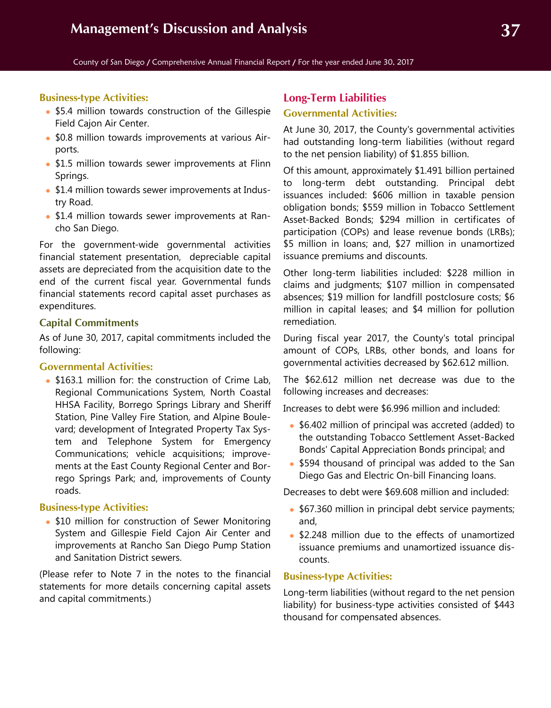# **Business-type Activities:**

- **\$5.4 million towards construction of the Gillespie** Field Cajon Air Center.
- \$0.8 million towards improvements at various Airports.
- \$1.5 million towards sewer improvements at Flinn Springs.
- \$1.4 million towards sewer improvements at Industry Road.
- \$1.4 million towards sewer improvements at Rancho San Diego.

For the government-wide governmental activities financial statement presentation, depreciable capital assets are depreciated from the acquisition date to the end of the current fiscal year. Governmental funds financial statements record capital asset purchases as expenditures.

### **Capital Commitments**

As of June 30, 2017, capital commitments included the following:

# **Governmental Activities:**

**\$163.1 million for: the construction of Crime Lab,** Regional Communications System, North Coastal HHSA Facility, Borrego Springs Library and Sheriff Station, Pine Valley Fire Station, and Alpine Boulevard; development of Integrated Property Tax System and Telephone System for Emergency Communications; vehicle acquisitions; improvements at the East County Regional Center and Borrego Springs Park; and, improvements of County roads.

## **Business-type Activities:**

• \$10 million for construction of Sewer Monitoring System and Gillespie Field Cajon Air Center and improvements at Rancho San Diego Pump Station and Sanitation District sewers.

(Please refer to Note 7 in the notes to the financial statements for more details concerning capital assets and capital commitments.)

# **Long-Term Liabilities**

### **Governmental Activities:**

At June 30, 2017, the County's governmental activities had outstanding long-term liabilities (without regard to the net pension liability) of \$1.855 billion.

Of this amount, approximately \$1.491 billion pertained to long-term debt outstanding. Principal debt issuances included: \$606 million in taxable pension obligation bonds; \$559 million in Tobacco Settlement Asset-Backed Bonds; \$294 million in certificates of participation (COPs) and lease revenue bonds (LRBs); \$5 million in loans; and, \$27 million in unamortized issuance premiums and discounts.

Other long-term liabilities included: \$228 million in claims and judgments; \$107 million in compensated absences; \$19 million for landfill postclosure costs; \$6 million in capital leases; and \$4 million for pollution remediation.

During fiscal year 2017, the County's total principal amount of COPs, LRBs, other bonds, and loans for governmental activities decreased by \$62.612 million.

The \$62.612 million net decrease was due to the following increases and decreases:

Increases to debt were \$6.996 million and included:

- \$6.402 million of principal was accreted (added) to the outstanding Tobacco Settlement Asset-Backed Bonds' Capital Appreciation Bonds principal; and
- \$594 thousand of principal was added to the San Diego Gas and Electric On-bill Financing loans.

Decreases to debt were \$69.608 million and included:

- \$67.360 million in principal debt service payments; and,
- \$2.248 million due to the effects of unamortized issuance premiums and unamortized issuance discounts.

### **Business-type Activities:**

Long-term liabilities (without regard to the net pension liability) for business-type activities consisted of \$443 thousand for compensated absences.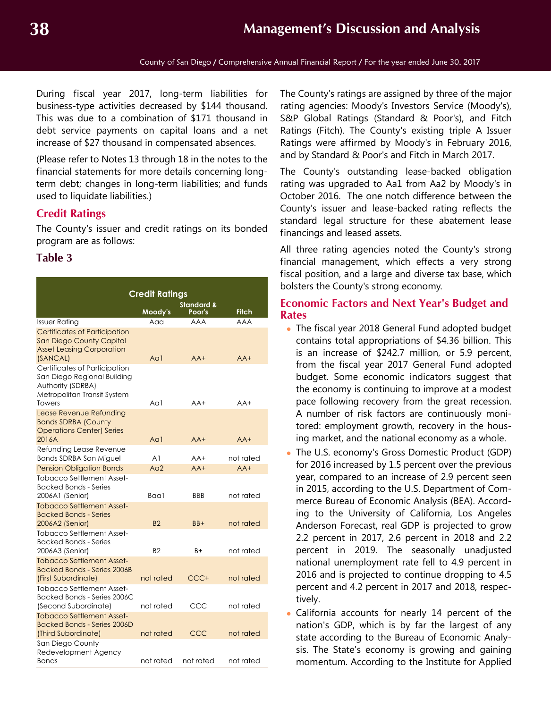During fiscal year 2017, long-term liabilities for business-type activities decreased by \$144 thousand. This was due to a combination of \$171 thousand in debt service payments on capital loans and a net increase of \$27 thousand in compensated absences.

(Please refer to Notes 13 through 18 in the notes to the financial statements for more details concerning longterm debt; changes in long-term liabilities; and funds used to liquidate liabilities.)

## **Credit Ratings**

The County's issuer and credit ratings on its bonded program are as follows:

### **Table 3**

|                                                                                                                                   | <b>Credit Ratings</b> |                                 |           |  |  |  |  |
|-----------------------------------------------------------------------------------------------------------------------------------|-----------------------|---------------------------------|-----------|--|--|--|--|
|                                                                                                                                   | Moody's               | <b>Standard &amp;</b><br>Poor's | Fitch     |  |  |  |  |
| <b>Issuer Rating</b>                                                                                                              | Aaa                   | AAA                             | AAA       |  |  |  |  |
| <b>Certificates of Participation</b><br><b>San Diego County Capital</b><br><b>Asset Leasing Corporation</b><br>(SANCAL)           | Aal                   | $AA+$                           | $AA+$     |  |  |  |  |
| Certificates of Participation<br>San Diego Regional Building<br>Authority (SDRBA)<br>Metropolitan Transit System<br><b>Towers</b> | Aal                   | $AA+$                           | $AA+$     |  |  |  |  |
| Lease Revenue Refunding<br><b>Bonds SDRBA (County</b><br><b>Operations Center) Series</b><br>2016A                                | A <sub>0</sub>        | $AA+$                           | $AA+$     |  |  |  |  |
| Refunding Lease Revenue<br><b>Bonds SDRBA San Miguel</b>                                                                          | A <sub>1</sub>        | $AA+$                           | not rated |  |  |  |  |
| <b>Pension Obligation Bonds</b>                                                                                                   | Aq2                   | $AA+$                           | $AA+$     |  |  |  |  |
| Tobacco Settlement Asset-<br><b>Backed Bonds - Series</b><br>2006A1 (Senior)                                                      | Baal                  | <b>BBB</b>                      | not rated |  |  |  |  |
| <b>Tobacco Settlement Asset-</b><br><b>Backed Bonds - Series</b><br>2006A2 (Senior)                                               | <b>B2</b>             | $BB+$                           | not rated |  |  |  |  |
| Tobacco Settlement Asset-<br><b>Backed Bonds - Series</b><br>2006A3 (Senior)                                                      | B <sub>2</sub>        | B+                              | not rated |  |  |  |  |
| <b>Tobacco Settlement Asset-</b><br><b>Backed Bonds - Series 2006B</b><br>(First Subordinate)                                     | not rated             | CCC+                            | not rated |  |  |  |  |
| Tobacco Settlement Asset-<br>Backed Bonds - Series 2006C<br>(Second Subordinate)                                                  | not rated             | CCC                             | not rated |  |  |  |  |
| <b>Tobacco Settlement Asset-</b><br><b>Backed Bonds - Series 2006D</b><br>(Third Subordinate)                                     | not rated             | CCC                             | not rated |  |  |  |  |
| San Diego County<br>Redevelopment Agency<br><b>Bonds</b>                                                                          | not rated             | not rated                       | not rated |  |  |  |  |

The County's ratings are assigned by three of the major rating agencies: Moody's Investors Service (Moody's), S&P Global Ratings (Standard & Poor's), and Fitch Ratings (Fitch). The County's existing triple A Issuer Ratings were affirmed by Moody's in February 2016, and by Standard & Poor's and Fitch in March 2017.

The County's outstanding lease-backed obligation rating was upgraded to Aa1 from Aa2 by Moody's in October 2016. The one notch difference between the County's issuer and lease-backed rating reflects the standard legal structure for these abatement lease financings and leased assets.

All three rating agencies noted the County's strong financial management, which effects a very strong fiscal position, and a large and diverse tax base, which bolsters the County's strong economy.

# **Economic Factors and Next Year's Budget and Rates**

- The fiscal year 2018 General Fund adopted budget contains total appropriations of \$4.36 billion. This is an increase of \$242.7 million, or 5.9 percent, from the fiscal year 2017 General Fund adopted budget. Some economic indicators suggest that the economy is continuing to improve at a modest pace following recovery from the great recession. A number of risk factors are continuously monitored: employment growth, recovery in the housing market, and the national economy as a whole.
- The U.S. economy's Gross Domestic Product (GDP) for 2016 increased by 1.5 percent over the previous year, compared to an increase of 2.9 percent seen in 2015, according to the U.S. Department of Commerce Bureau of Economic Analysis (BEA). According to the University of California, Los Angeles Anderson Forecast, real GDP is projected to grow 2.2 percent in 2017, 2.6 percent in 2018 and 2.2 percent in 2019. The seasonally unadjusted national unemployment rate fell to 4.9 percent in 2016 and is projected to continue dropping to 4.5 percent and 4.2 percent in 2017 and 2018, respectively.
- California accounts for nearly 14 percent of the nation's GDP, which is by far the largest of any state according to the Bureau of Economic Analysis. The State's economy is growing and gaining momentum. According to the Institute for Applied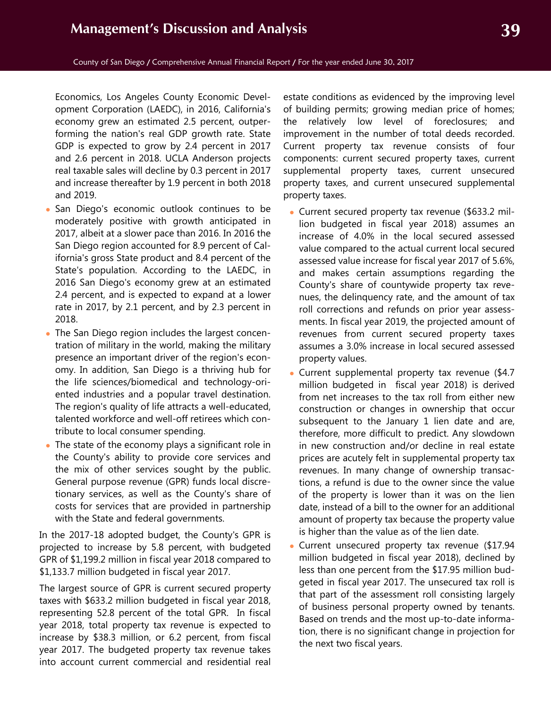Economics, Los Angeles County Economic Development Corporation (LAEDC), in 2016, California's economy grew an estimated 2.5 percent, outperforming the nation's real GDP growth rate. State GDP is expected to grow by 2.4 percent in 2017 and 2.6 percent in 2018. UCLA Anderson projects real taxable sales will decline by 0.3 percent in 2017 and increase thereafter by 1.9 percent in both 2018 and 2019.

- San Diego's economic outlook continues to be moderately positive with growth anticipated in 2017, albeit at a slower pace than 2016. In 2016 the San Diego region accounted for 8.9 percent of California's gross State product and 8.4 percent of the State's population. According to the LAEDC, in 2016 San Diego's economy grew at an estimated 2.4 percent, and is expected to expand at a lower rate in 2017, by 2.1 percent, and by 2.3 percent in 2018.
- The San Diego region includes the largest concentration of military in the world, making the military presence an important driver of the region's economy. In addition, San Diego is a thriving hub for the life sciences/biomedical and technology-oriented industries and a popular travel destination. The region's quality of life attracts a well-educated, talented workforce and well-off retirees which contribute to local consumer spending.
- The state of the economy plays a significant role in the County's ability to provide core services and the mix of other services sought by the public. General purpose revenue (GPR) funds local discretionary services, as well as the County's share of costs for services that are provided in partnership with the State and federal governments.

In the 2017-18 adopted budget, the County's GPR is projected to increase by 5.8 percent, with budgeted GPR of \$1,199.2 million in fiscal year 2018 compared to \$1,133.7 million budgeted in fiscal year 2017.

The largest source of GPR is current secured property taxes with \$633.2 million budgeted in fiscal year 2018, representing 52.8 percent of the total GPR. In fiscal year 2018, total property tax revenue is expected to increase by \$38.3 million, or 6.2 percent, from fiscal year 2017. The budgeted property tax revenue takes into account current commercial and residential real

estate conditions as evidenced by the improving level of building permits; growing median price of homes; the relatively low level of foreclosures; and improvement in the number of total deeds recorded. Current property tax revenue consists of four components: current secured property taxes, current supplemental property taxes, current unsecured property taxes, and current unsecured supplemental property taxes.

- Current secured property tax revenue (\$633.2 million budgeted in fiscal year 2018) assumes an increase of 4.0% in the local secured assessed value compared to the actual current local secured assessed value increase for fiscal year 2017 of 5.6%, and makes certain assumptions regarding the County's share of countywide property tax revenues, the delinquency rate, and the amount of tax roll corrections and refunds on prior year assessments. In fiscal year 2019, the projected amount of revenues from current secured property taxes assumes a 3.0% increase in local secured assessed property values.
- Current supplemental property tax revenue (\$4.7 million budgeted in fiscal year 2018) is derived from net increases to the tax roll from either new construction or changes in ownership that occur subsequent to the January 1 lien date and are, therefore, more difficult to predict. Any slowdown in new construction and/or decline in real estate prices are acutely felt in supplemental property tax revenues. In many change of ownership transactions, a refund is due to the owner since the value of the property is lower than it was on the lien date, instead of a bill to the owner for an additional amount of property tax because the property value is higher than the value as of the lien date.
- Current unsecured property tax revenue (\$17.94 million budgeted in fiscal year 2018), declined by less than one percent from the \$17.95 million budgeted in fiscal year 2017. The unsecured tax roll is that part of the assessment roll consisting largely of business personal property owned by tenants. Based on trends and the most up-to-date information, there is no significant change in projection for the next two fiscal years.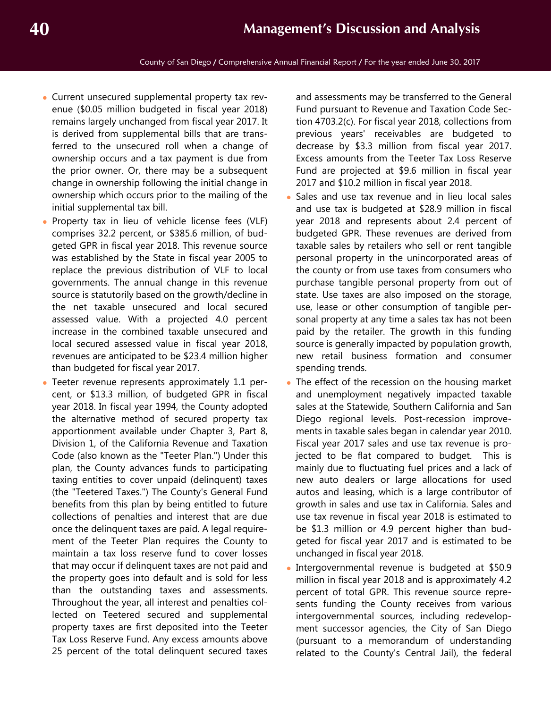- Current unsecured supplemental property tax revenue (\$0.05 million budgeted in fiscal year 2018) remains largely unchanged from fiscal year 2017. It is derived from supplemental bills that are transferred to the unsecured roll when a change of ownership occurs and a tax payment is due from the prior owner. Or, there may be a subsequent change in ownership following the initial change in ownership which occurs prior to the mailing of the initial supplemental tax bill.
- Property tax in lieu of vehicle license fees (VLF) comprises 32.2 percent, or \$385.6 million, of budgeted GPR in fiscal year 2018. This revenue source was established by the State in fiscal year 2005 to replace the previous distribution of VLF to local governments. The annual change in this revenue source is statutorily based on the growth/decline in the net taxable unsecured and local secured assessed value. With a projected 4.0 percent increase in the combined taxable unsecured and local secured assessed value in fiscal year 2018, revenues are anticipated to be \$23.4 million higher than budgeted for fiscal year 2017.
- Teeter revenue represents approximately 1.1 percent, or \$13.3 million, of budgeted GPR in fiscal year 2018. In fiscal year 1994, the County adopted the alternative method of secured property tax apportionment available under Chapter 3, Part 8, Division 1, of the California Revenue and Taxation Code (also known as the "Teeter Plan.") Under this plan, the County advances funds to participating taxing entities to cover unpaid (delinquent) taxes (the "Teetered Taxes.") The County's General Fund benefits from this plan by being entitled to future collections of penalties and interest that are due once the delinquent taxes are paid. A legal requirement of the Teeter Plan requires the County to maintain a tax loss reserve fund to cover losses that may occur if delinquent taxes are not paid and the property goes into default and is sold for less than the outstanding taxes and assessments. Throughout the year, all interest and penalties collected on Teetered secured and supplemental property taxes are first deposited into the Teeter Tax Loss Reserve Fund. Any excess amounts above 25 percent of the total delinquent secured taxes

and assessments may be transferred to the General Fund pursuant to Revenue and Taxation Code Section 4703.2(c). For fiscal year 2018, collections from previous years' receivables are budgeted to decrease by \$3.3 million from fiscal year 2017. Excess amounts from the Teeter Tax Loss Reserve Fund are projected at \$9.6 million in fiscal year 2017 and \$10.2 million in fiscal year 2018.

- Sales and use tax revenue and in lieu local sales and use tax is budgeted at \$28.9 million in fiscal year 2018 and represents about 2.4 percent of budgeted GPR. These revenues are derived from taxable sales by retailers who sell or rent tangible personal property in the unincorporated areas of the county or from use taxes from consumers who purchase tangible personal property from out of state. Use taxes are also imposed on the storage, use, lease or other consumption of tangible personal property at any time a sales tax has not been paid by the retailer. The growth in this funding source is generally impacted by population growth, new retail business formation and consumer spending trends.
- The effect of the recession on the housing market and unemployment negatively impacted taxable sales at the Statewide, Southern California and San Diego regional levels. Post-recession improvements in taxable sales began in calendar year 2010. Fiscal year 2017 sales and use tax revenue is projected to be flat compared to budget. This is mainly due to fluctuating fuel prices and a lack of new auto dealers or large allocations for used autos and leasing, which is a large contributor of growth in sales and use tax in California. Sales and use tax revenue in fiscal year 2018 is estimated to be \$1.3 million or 4.9 percent higher than budgeted for fiscal year 2017 and is estimated to be unchanged in fiscal year 2018.
- Intergovernmental revenue is budgeted at \$50.9 million in fiscal year 2018 and is approximately 4.2 percent of total GPR. This revenue source represents funding the County receives from various intergovernmental sources, including redevelopment successor agencies, the City of San Diego (pursuant to a memorandum of understanding related to the County's Central Jail), the federal